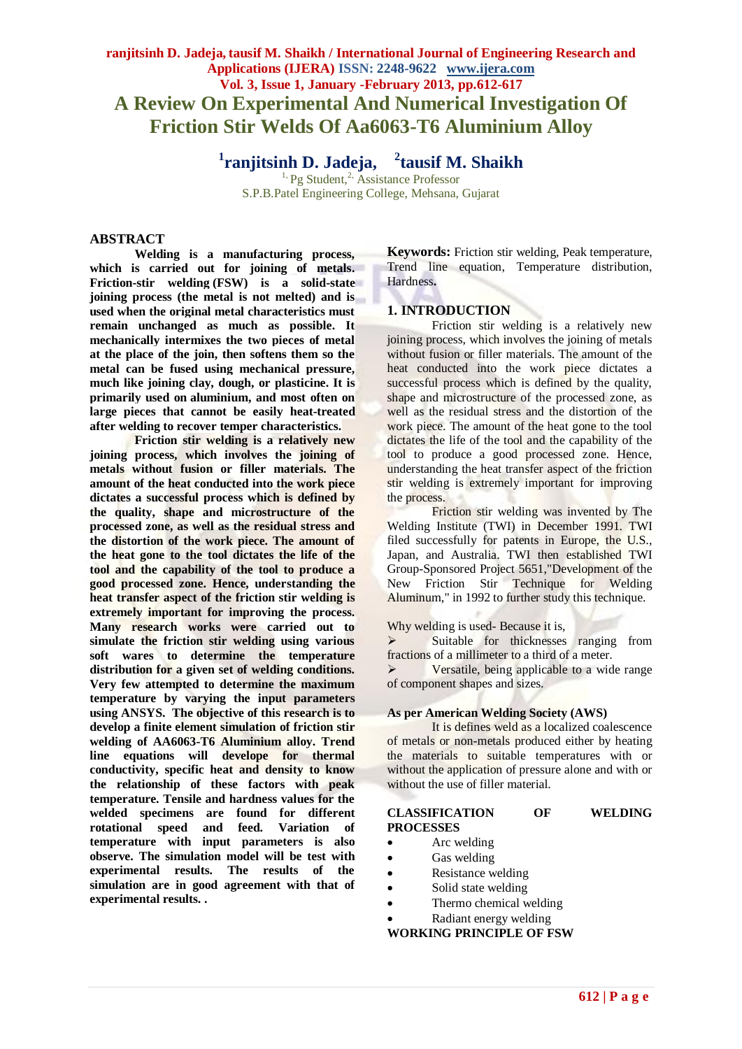# **ranjitsinh D. Jadeja, tausif M. Shaikh / International Journal of Engineering Research and Applications (IJERA) ISSN: 2248-9622 www.ijera.com Vol. 3, Issue 1, January -February 2013, pp.612-617 A Review On Experimental And Numerical Investigation Of Friction Stir Welds Of Aa6063-T6 Aluminium Alloy**

**1 ranjitsinh D. Jadeja,<sup>2</sup> tausif M. Shaikh**

Pg Student,<sup>2,</sup> Assistance Professor S.P.B.Patel Engineering College, Mehsana, Gujarat

## **ABSTRACT**

**Welding is a manufacturing process, which is carried out for joining of metals. Friction-stir welding (FSW) is a solid-state joining process (the metal is not melted) and is used when the original metal characteristics must remain unchanged as much as possible. It mechanically intermixes the two pieces of metal at the place of the join, then softens them so the metal can be fused using mechanical pressure, much like joining clay, dough, or plasticine. It is primarily used on [aluminium,](http://en.wikipedia.org/wiki/Aluminium) and most often on large pieces that cannot be easily heat-treated after welding to recover temper characteristics.**

**Friction stir welding is a relatively new joining process, which involves the joining of metals without fusion or filler materials. The amount of the heat conducted into the work piece dictates a successful process which is defined by the quality, shape and microstructure of the processed zone, as well as the residual stress and the distortion of the work piece. The amount of the heat gone to the tool dictates the life of the tool and the capability of the tool to produce a good processed zone. Hence, understanding the heat transfer aspect of the friction stir welding is extremely important for improving the process. Many research works were carried out to simulate the friction stir welding using various soft wares to determine the temperature distribution for a given set of welding conditions. Very few attempted to determine the maximum temperature by varying the input parameters using ANSYS. The objective of this research is to develop a finite element simulation of friction stir welding of AA6063-T6 Aluminium alloy. Trend line equations will develope for thermal conductivity, specific heat and density to know the relationship of these factors with peak temperature. Tensile and hardness values for the welded specimens are found for different rotational speed and feed. Variation of temperature with input parameters is also observe. The simulation model will be test with experimental results. The results of the simulation are in good agreement with that of experimental results. .**

**Keywords:** Friction stir welding, Peak temperature, Trend line equation, Temperature distribution, Hardness**.**

### **1. INTRODUCTION**

Friction stir welding is a relatively new joining process, which involves the joining of metals without fusion or filler materials. The amount of the heat conducted into the work piece dictates a successful process which is defined by the quality, shape and microstructure of the processed zone, as well as the residual stress and the distortion of the work piece. The amount of the heat gone to the tool dictates the life of the tool and the capability of the tool to produce a good processed zone. Hence, understanding the heat transfer aspect of the friction stir welding is extremely important for improving the process.

Friction stir welding was invented by The Welding Institute (TWI) in December 1991. TWI filed successfully for patents in Europe, the U.S., Japan, and Australia. TWI then established TWI Group-Sponsored Project 5651,"Development of the New Friction Stir Technique for Welding Aluminum," in 1992 to further study this technique.

Why welding is used- Because it is,

 Suitable for thicknesses ranging from fractions of a millimeter to a third of a meter.

 Versatile, being applicable to a wide range of component shapes and sizes.

#### **As per American Welding Society (AWS)**

It is defines weld as a localized coalescence of metals or non-metals produced either by heating the materials to suitable temperatures with or without the application of pressure alone and with or without the use of filler material.

### **CLASSIFICATION OF WELDING PROCESSES**

- 
- Arc welding
- Gas welding
- Resistance welding
- Solid state welding
- Thermo chemical welding
- Radiant energy welding

**WORKING PRINCIPLE OF FSW**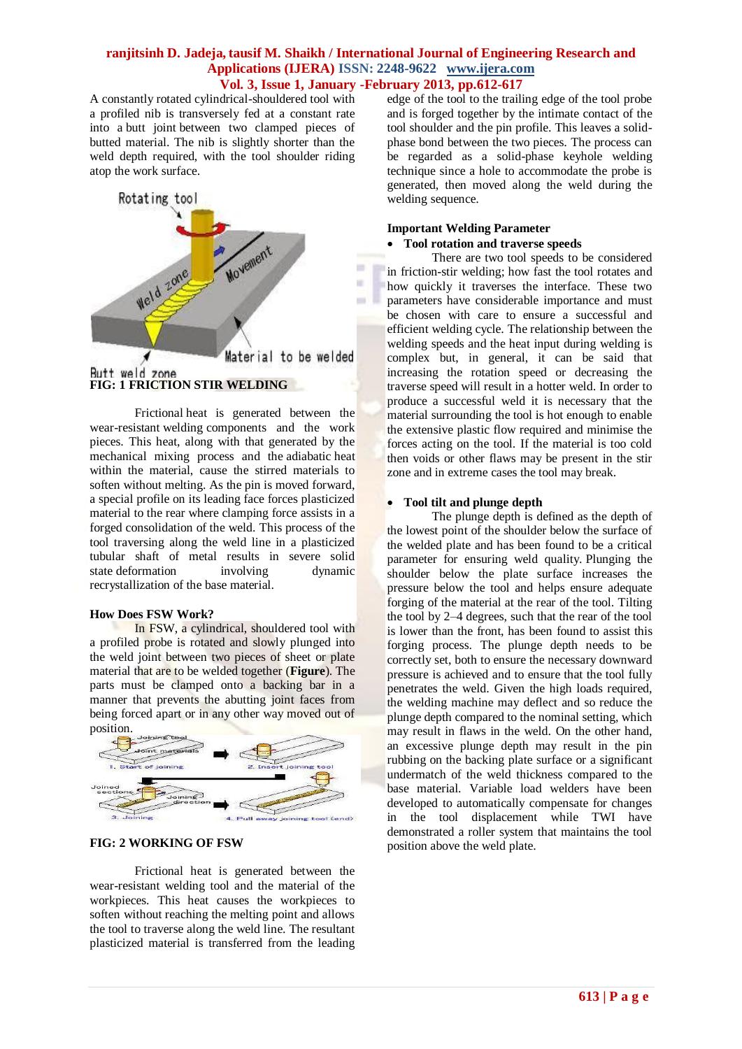A constantly rotated cylindrical-shouldered tool with a profiled nib is transversely fed at a constant rate into a [butt joint](http://en.wikipedia.org/wiki/Butt_joint) between two clamped pieces of butted material. The nib is slightly shorter than the weld depth required, with the tool shoulder riding atop the work surface.



[Frictional](http://en.wikipedia.org/wiki/Friction) heat is generated between the wear-resistant [welding](http://en.wikipedia.org/wiki/Welding) components and the work pieces. This heat, along with that generated by the mechanical mixing process and the [adiabatic](http://en.wikipedia.org/wiki/Adiabatic) heat within the material, cause the stirred materials to soften without [melting.](http://en.wikipedia.org/wiki/Melting_point) As the pin is moved forward, a special profile on its leading face forces plasticized material to the rear where clamping force assists in a forged consolidation of the weld. This process of the tool traversing along the weld line in a plasticized tubular shaft of metal results in severe solid state deformation involving dynamic recrystallization of the base material.

#### **How Does FSW Work?**

In FSW, a cylindrical, shouldered tool with a profiled probe is rotated and slowly plunged into the weld joint between two pieces of sheet or plate material that are to be welded together (**Figure**). The parts must be clamped onto a backing bar in a manner that prevents the abutting joint faces from being forced apart or in any other way moved out of position.



#### **FIG: 2 WORKING OF FSW**

Frictional heat is generated between the wear-resistant welding tool and the material of the workpieces. This heat causes the workpieces to soften without reaching the melting point and allows the tool to traverse along the weld line. The resultant plasticized material is transferred from the leading

edge of the tool to the trailing edge of the tool probe and is forged together by the intimate contact of the tool shoulder and the pin profile. This leaves a solidphase bond between the two pieces. The process can be regarded as a solid-phase keyhole welding technique since a hole to accommodate the probe is generated, then moved along the weld during the welding sequence.

### **Important Welding Parameter**

### **Tool rotation and traverse speeds**

There are two tool speeds to be considered in friction-stir welding; how fast the tool rotates and how quickly it traverses the interface. These two parameters have considerable importance and must be chosen with care to ensure a successful and efficient welding cycle. The relationship between the welding speeds and the heat input during welding is complex but, in general, it can be said that increasing the rotation speed or decreasing the traverse speed will result in a hotter weld. In order to produce a successful weld it is necessary that the material surrounding the tool is hot enough to enable the extensive plastic flow required and minimise the forces acting on the tool. If the material is too cold then voids or other flaws may be present in the stir zone and in extreme cases the tool may break.

#### **Tool tilt and plunge depth**

The plunge depth is defined as the depth of the lowest point of the shoulder below the surface of the welded plate and has been found to be a critical parameter for ensuring weld quality. Plunging the shoulder below the plate surface increases the pressure below the tool and helps ensure adequate forging of the material at the rear of the tool. Tilting the tool by 2–4 degrees, such that the rear of the tool is lower than the front, has been found to assist this forging process. The plunge depth needs to be correctly set, both to ensure the necessary downward pressure is achieved and to ensure that the tool fully penetrates the weld. Given the high loads required, the welding machine may deflect and so reduce the plunge depth compared to the nominal setting, which may result in flaws in the weld. On the other hand, an excessive plunge depth may result in the pin rubbing on the backing plate surface or a significant undermatch of the weld thickness compared to the base material. Variable load welders have been developed to automatically compensate for changes in the tool displacement while TWI have demonstrated a roller system that maintains the tool position above the weld plate.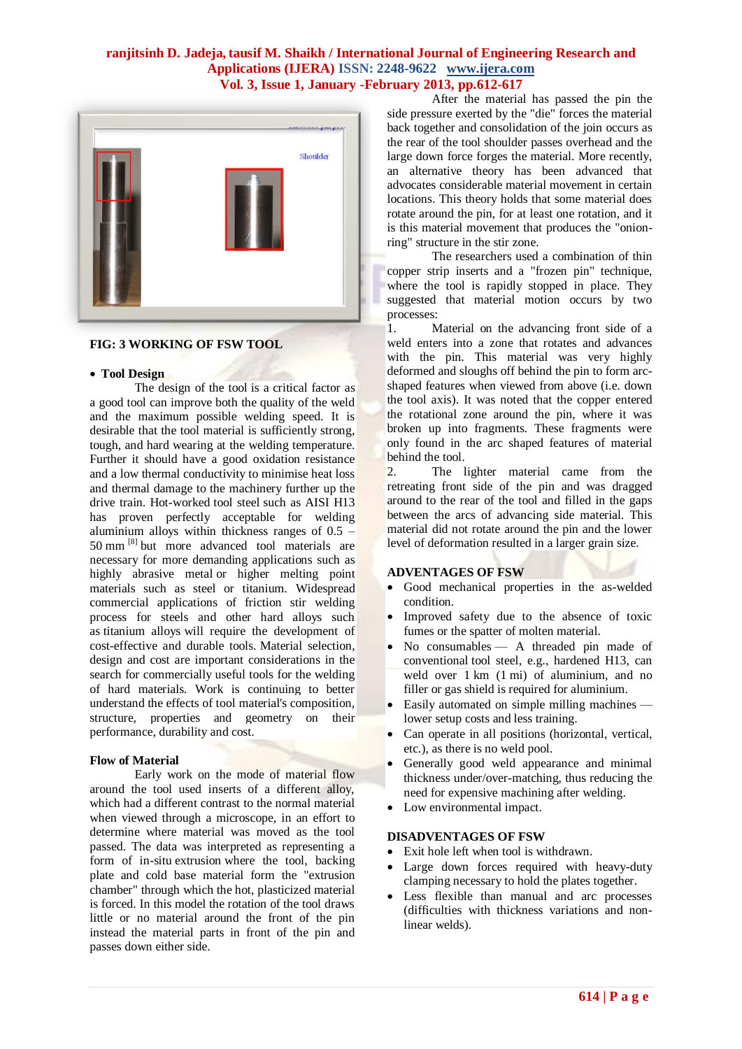

### **FIG: 3 WORKING OF FSW TOOL**

#### **Tool Design**

The design of the tool is a critical factor as a good tool can improve both the quality of the weld and the maximum possible welding speed. It is desirable that the tool material is sufficiently strong, tough, and hard wearing at the welding temperature. Further it should have a good oxidation resistance and a low [thermal conductivity](http://en.wikipedia.org/wiki/Thermal_conductivity) to minimise heat loss and thermal damage to the machinery further up the drive train. Hot-worked [tool steel](http://en.wikipedia.org/wiki/Tool_steel) such as AISI H13 has proven perfectly acceptable for welding aluminium alloys within thickness ranges of 0.5 – 50 mm <sup>[\[8\]](http://en.wikipedia.org/wiki/Friction_stir_welding#cite_note-8)</sup> but more advanced tool materials are necessary for more demanding applications such as highly abrasive metal or higher melting point materials such as steel or titanium. Widespread commercial applications of friction stir welding process for steels and other hard alloys such as [titanium alloys](http://en.wikipedia.org/wiki/Titanium_alloy) will require the development of cost-effective and durable tools. Material selection, design and cost are important considerations in the search for commercially useful tools for the welding of hard materials. Work is continuing to better understand the effects of tool material's composition, structure, properties and geometry on their performance, durability and cost.

#### **Flow of Material**

Early work on the mode of material flow around the tool used inserts of a different alloy, which had a different contrast to the normal material when viewed through a microscope, in an effort to determine where material was moved as the tool passed. The data was interpreted as representing a form of in-situ [extrusion](http://en.wikipedia.org/wiki/Extrusion) where the tool, backing plate and cold base material form the "extrusion chamber" through which the hot, plasticized material is forced. In this model the rotation of the tool draws little or no material around the front of the pin instead the material parts in front of the pin and passes down either side.

After the material has passed the pin the side pressure exerted by the "die" forces the material back together and consolidation of the join occurs as the rear of the tool shoulder passes overhead and the large down force forges the material. More recently, an alternative theory has been advanced that advocates considerable material movement in certain locations. This theory holds that some material does rotate around the pin, for at least one rotation, and it is this material movement that produces the "onionring" structure in the stir zone.

The researchers used a combination of thin copper strip inserts and a "frozen pin" technique, where the tool is rapidly stopped in place. They suggested that material motion occurs by two processes:

1. Material on the advancing front side of a weld enters into a zone that rotates and advances with the pin. This material was very highly deformed and sloughs off behind the pin to form arcshaped features when viewed from above (i.e. down the tool axis). It was noted that the copper entered the rotational zone around the pin, where it was broken up into fragments. These fragments were only found in the arc shaped features of material behind the tool.

2. The lighter material came from the retreating front side of the pin and was dragged around to the rear of the tool and filled in the gaps between the arcs of advancing side material. This material did not rotate around the pin and the lower level of deformation resulted in a larger grain size.

#### **ADVENTAGES OF FSW**

- Good mechanical properties in the as-welded condition.
- Improved safety due to the absence of toxic fumes or the spatter of molten material.
- No consumables A threaded pin made of conventional [tool steel,](http://en.wikipedia.org/wiki/Tool_steel) e.g., hardened H13, can weld over 1 km (1 mi) of aluminium, and no filler or gas shield is required for aluminium.
- Easily automated on simple milling machines lower setup costs and less training.
- Can operate in all positions (horizontal, vertical, etc.), as there is no weld pool.
- Generally good weld appearance and minimal thickness under/over-matching, thus reducing the need for expensive machining after welding.
- Low environmental impact.

### **DISADVENTAGES OF FSW**

- Exit hole left when tool is withdrawn.
- Large down forces required with heavy-duty clamping necessary to hold the plates together.
- Less flexible than manual and arc processes (difficulties with thickness variations and nonlinear welds).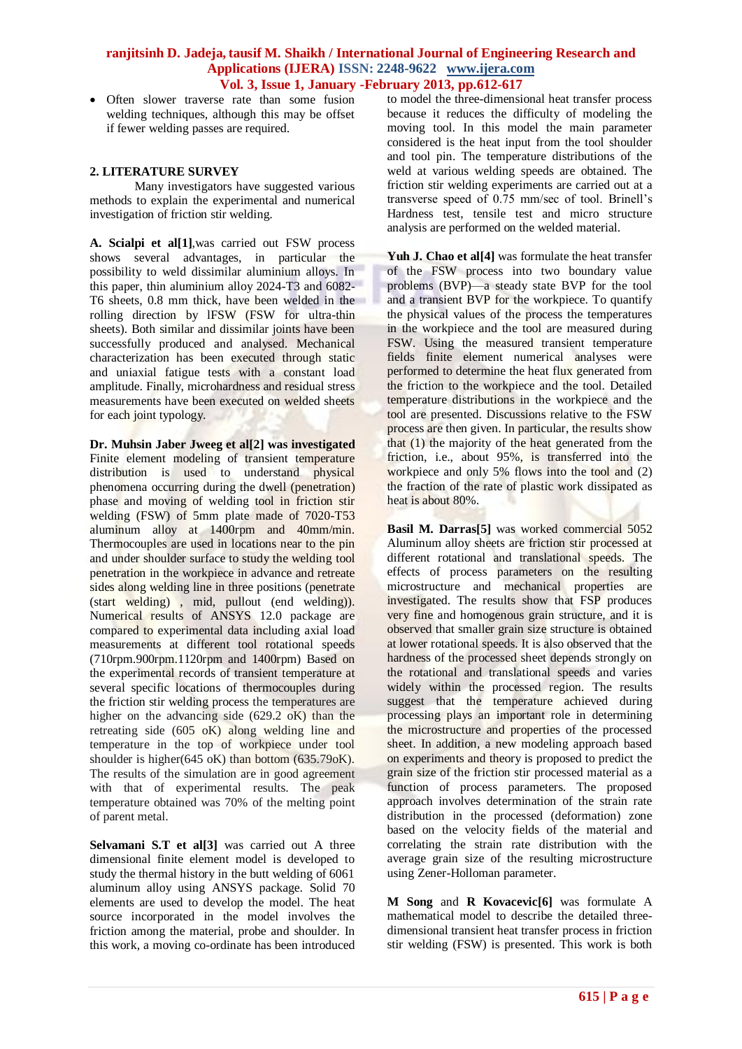• Often slower traverse rate than some fusion welding techniques, although this may be offset if fewer welding passes are required.

### **2. LITERATURE SURVEY**

Many investigators have suggested various methods to explain the experimental and numerical investigation of friction stir welding.

**A. Scialpi et al[1]**,was carried out FSW process shows several advantages, in particular the possibility to weld dissimilar aluminium alloys. In this paper, thin aluminium alloy 2024-T3 and 6082- T6 sheets, 0.8 mm thick, have been welded in the rolling direction by lFSW (FSW for ultra-thin sheets). Both similar and dissimilar joints have been successfully produced and analysed. Mechanical characterization has been executed through static and uniaxial fatigue tests with a constant load amplitude. Finally, microhardness and residual stress measurements have been executed on welded sheets for each joint typology.

**Dr. Muhsin Jaber Jweeg et al[2] was investigated**  Finite element modeling of transient temperature distribution is used to understand physical phenomena occurring during the dwell (penetration) phase and moving of welding tool in friction stir welding (FSW) of 5mm plate made of 7020-T53 aluminum alloy at 1400rpm and 40mm/min. Thermocouples are used in locations near to the pin and under shoulder surface to study the welding tool penetration in the workpiece in advance and retreate sides along welding line in three positions (penetrate (start welding) , mid, pullout (end welding)). Numerical results of ANSYS 12.0 package are compared to experimental data including axial load measurements at different tool rotational speeds (710rpm.900rpm.1120rpm and 1400rpm) Based on the experimental records of transient temperature at several specific locations of thermocouples during the friction stir welding process the temperatures are higher on the advancing side (629.2 oK) than the retreating side (605 oK) along welding line and temperature in the top of workpiece under tool shoulder is higher(645 oK) than bottom (635.79oK). The results of the simulation are in good agreement with that of experimental results. The peak temperature obtained was 70% of the melting point of parent metal.

**Selvamani S.T et al[3]** was carried out A three dimensional finite element model is developed to study the thermal history in the butt welding of 6061 aluminum alloy using ANSYS package. Solid 70 elements are used to develop the model. The heat source incorporated in the model involves the friction among the material, probe and shoulder. In this work, a moving co-ordinate has been introduced to model the three-dimensional heat transfer process because it reduces the difficulty of modeling the moving tool. In this model the main parameter considered is the heat input from the tool shoulder and tool pin. The temperature distributions of the weld at various welding speeds are obtained. The friction stir welding experiments are carried out at a transverse speed of 0.75 mm/sec of tool. Brinell's Hardness test, tensile test and micro structure analysis are performed on the welded material.

Yuh J. Chao et al<sup>[4]</sup> was formulate the heat transfer of the FSW process into two boundary value problems (BVP)—a steady state BVP for the tool and a transient BVP for the workpiece. To quantify the physical values of the process the temperatures in the workpiece and the tool are measured during FSW. Using the measured transient temperature fields finite element numerical analyses were performed to determine the heat flux generated from the friction to the workpiece and the tool. Detailed temperature distributions in the workpiece and the tool are presented. Discussions relative to the FSW process are then given. In particular, the results show that (1) the majority of the heat generated from the friction, i.e., about 95%, is transferred into the workpiece and only 5% flows into the tool and (2) the fraction of the rate of plastic work dissipated as heat is about 80%.

**Basil M. Darras[5]** was worked commercial 5052 Aluminum alloy sheets are friction stir processed at different rotational and translational speeds. The effects of process parameters on the resulting microstructure and mechanical properties are investigated. The results show that FSP produces very fine and homogenous grain structure, and it is observed that smaller grain size structure is obtained at lower rotational speeds. It is also observed that the hardness of the processed sheet depends strongly on the rotational and translational speeds and varies widely within the processed region. The results suggest that the temperature achieved during processing plays an important role in determining the microstructure and properties of the processed sheet. In addition, a new modeling approach based on experiments and theory is proposed to predict the grain size of the friction stir processed material as a function of process parameters. The proposed approach involves determination of the strain rate distribution in the processed (deformation) zone based on the velocity fields of the material and correlating the strain rate distribution with the average grain size of the resulting microstructure using Zener-Holloman parameter.

**M Song** and **R Kovacevic[6]** was formulate A mathematical model to describe the detailed threedimensional transient heat transfer process in friction stir welding (FSW) is presented. This work is both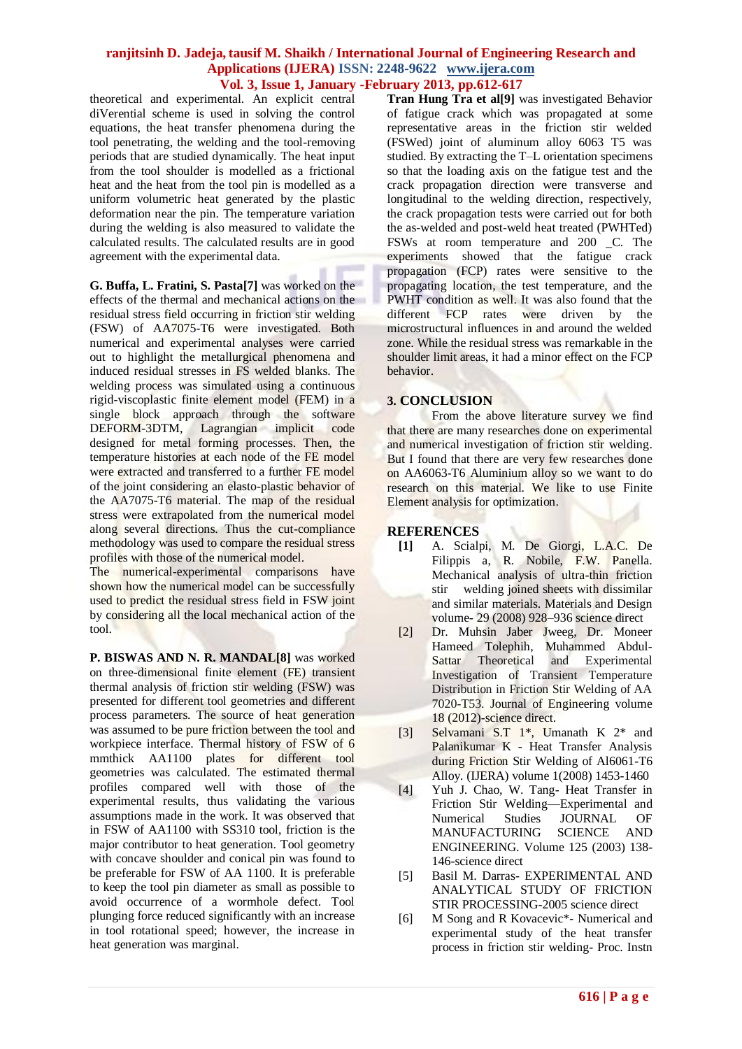theoretical and experimental. An explicit central diVerential scheme is used in solving the control equations, the heat transfer phenomena during the tool penetrating, the welding and the tool-removing periods that are studied dynamically. The heat input from the tool shoulder is modelled as a frictional heat and the heat from the tool pin is modelled as a uniform volumetric heat generated by the plastic deformation near the pin. The temperature variation during the welding is also measured to validate the calculated results. The calculated results are in good agreement with the experimental data.

**G. Buffa, L. Fratini, S. Pasta[7]** was worked on the effects of the thermal and mechanical actions on the residual stress field occurring in friction stir welding (FSW) of AA7075-T6 were investigated. Both numerical and experimental analyses were carried out to highlight the metallurgical phenomena and induced residual stresses in FS welded blanks. The welding process was simulated using a continuous rigid-viscoplastic finite element model (FEM) in a single block approach through the software DEFORM-3DTM, Lagrangian implicit code designed for metal forming processes. Then, the temperature histories at each node of the FE model were extracted and transferred to a further FE model of the joint considering an elasto-plastic behavior of the AA7075-T6 material. The map of the residual stress were extrapolated from the numerical model along several directions. Thus the cut-compliance methodology was used to compare the residual stress profiles with those of the numerical model.

The numerical-experimental comparisons have shown how the numerical model can be successfully used to predict the residual stress field in FSW joint by considering all the local mechanical action of the tool.

**P. BISWAS AND N. R. MANDAL[8]** was worked on three-dimensional finite element (FE) transient thermal analysis of friction stir welding (FSW) was presented for different tool geometries and different process parameters. The source of heat generation was assumed to be pure friction between the tool and workpiece interface. Thermal history of FSW of 6 mmthick AA1100 plates for different tool geometries was calculated. The estimated thermal profiles compared well with those of the experimental results, thus validating the various assumptions made in the work. It was observed that in FSW of AA1100 with SS310 tool, friction is the major contributor to heat generation. Tool geometry with concave shoulder and conical pin was found to be preferable for FSW of AA 1100. It is preferable to keep the tool pin diameter as small as possible to avoid occurrence of a wormhole defect. Tool plunging force reduced significantly with an increase in tool rotational speed; however, the increase in heat generation was marginal.

**Tran Hung Tra et al[9]** was investigated Behavior of fatigue crack which was propagated at some representative areas in the friction stir welded (FSWed) joint of aluminum alloy 6063 T5 was studied. By extracting the T–L orientation specimens so that the loading axis on the fatigue test and the crack propagation direction were transverse and longitudinal to the welding direction, respectively, the crack propagation tests were carried out for both the as-welded and post-weld heat treated (PWHTed) FSWs at room temperature and 200 \_C. The experiments showed that the fatigue crack propagation (FCP) rates were sensitive to the propagating location, the test temperature, and the PWHT condition as well. It was also found that the different FCP rates were driven by the microstructural influences in and around the welded zone. While the residual stress was remarkable in the shoulder limit areas, it had a minor effect on the FCP behavior.

### **3. CONCLUSION**

From the above literature survey we find that there are many researches done on experimental and numerical investigation of friction stir welding. But I found that there are very few researches done on AA6063-T6 Aluminium alloy so we want to do research on this material. We like to use Finite Element analysis for optimization.

## **REFERENCES**

- **[1]** A. Scialpi, M. De Giorgi, L.A.C. De Filippis a, R. Nobile, F.W. Panella. Mechanical analysis of ultra-thin friction stir welding joined sheets with dissimilar and similar materials. Materials and Design volume- 29 (2008) 928–936 science direct
- [2] Dr. Muhsin Jaber Jweeg, Dr. Moneer Hameed Tolephih, Muhammed Abdul-Sattar Theoretical and Experimental Investigation of Transient Temperature Distribution in Friction Stir Welding of AA 7020-T53. Journal of Engineering volume 18 (2012)-science direct.
- [3] Selvamani S.T 1\*, Umanath K 2\* and Palanikumar K - Heat Transfer Analysis during Friction Stir Welding of Al6061-T6 Alloy. (IJERA) volume 1(2008) 1453-1460
- [4] Yuh J. Chao, W. Tang- Heat Transfer in Friction Stir Welding—Experimental and Numerical Studies JOURNAL OF MANUFACTURING SCIENCE AND ENGINEERING. Volume 125 (2003) 138- 146-science direct
- [5] Basil M. Darras- EXPERIMENTAL AND ANALYTICAL STUDY OF FRICTION STIR PROCESSING-2005 science direct
- [6] M Song and R Kovacevic\*- Numerical and experimental study of the heat transfer process in friction stir welding- Proc. Instn